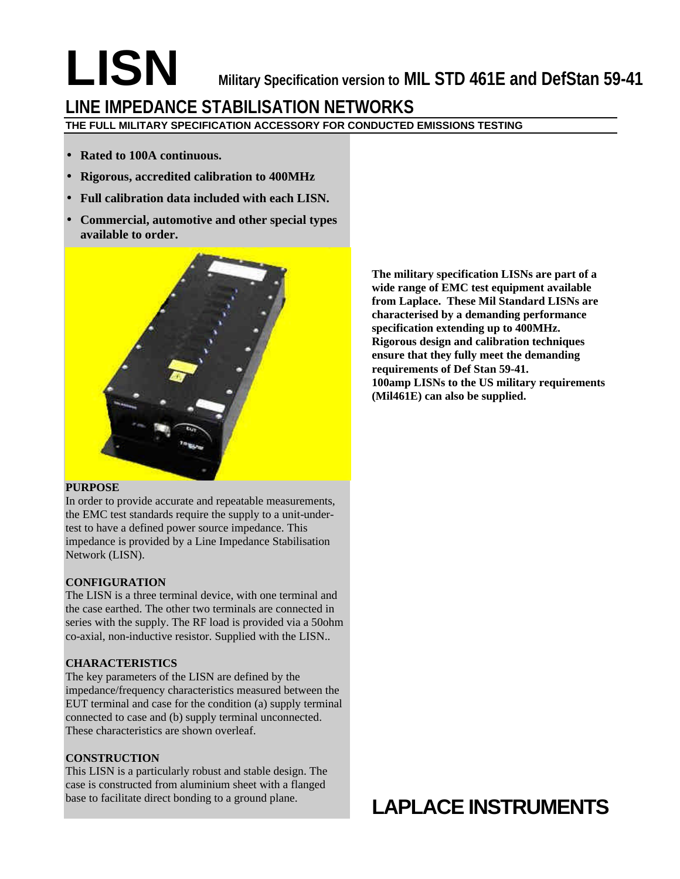# **LISN** Military Specification version to MIL STD 461E and DefStan 59-41 **LINE IMPEDANCE STABILISATION NETWORKS**

**THE FULL MILITARY SPECIFICATION ACCESSORY FOR CONDUCTED EMISSIONS TESTING**

- **Rated to 100A continuous.**
- **Rigorous, accredited calibration to 400MHz**
- **Full calibration data included with each LISN.**
- **Commercial, automotive and other special types available to order.**



### **PURPOSE**

In order to provide accurate and repeatable measurements, the EMC test standards require the supply to a unit-undertest to have a defined power source impedance. This impedance is provided by a Line Impedance Stabilisation Network (LISN).

# **CONFIGURATION**

The LISN is a three terminal device, with one terminal and the case earthed. The other two terminals are connected in series with the supply. The RF load is provided via a 50ohm co-axial, non-inductive resistor. Supplied with the LISN..

# **CHARACTERISTICS**

The key parameters of the LISN are defined by the impedance/frequency characteristics measured between the EUT terminal and case for the condition (a) supply terminal connected to case and (b) supply terminal unconnected. These characteristics are shown overleaf.

# **CONSTRUCTION**

This LISN is a particularly robust and stable design. The case is constructed from aluminium sheet with a flanged base to facilitate direct bonding to a ground plane.

**The military specification LISNs are part of a wide range of EMC test equipment available from Laplace. These Mil Standard LISNs are characterised by a demanding performance specification extending up to 400MHz. Rigorous design and calibration techniques ensure that they fully meet the demanding requirements of Def Stan 59-41. 100amp LISNs to the US military requirements (Mil461E) can also be supplied.**

# **LAPLACE INSTRUMENTS**